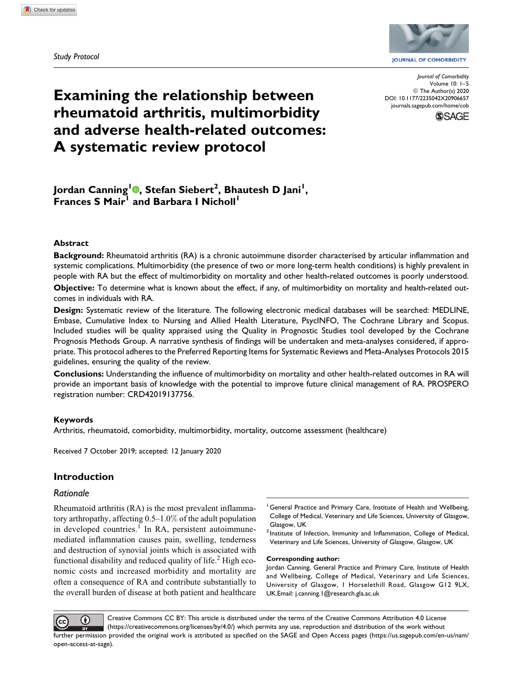Study Protocol



**JOURNAL OF COMORBIDITY** 

Journal of Comorbidity Volume 10: 1–5 © The Author(s) 2020 [DOI: 10.1177/2235042X20906657](https://doi.org/10.1177/2235042X20906657) [journals.sagepub.com/home/cob](http://journals.sagepub.com/home/cob)



# Examining the relationship between rheumatoid arthritis, multimorbidity and adverse health-related outcomes: A systematic review protocol

Jordan Canning<sup>l</sup>®, Stefan Siebert<sup>2</sup>, Bhautesh D Jani<sup>l</sup>, Frances S Mair<sup>1</sup> and Barbara I Nicholl<sup>1</sup>

## Abstract

Background: Rheumatoid arthritis (RA) is a chronic autoimmune disorder characterised by articular inflammation and systemic complications. Multimorbidity (the presence of two or more long-term health conditions) is highly prevalent in people with RA but the effect of multimorbidity on mortality and other health-related outcomes is poorly understood.

Objective: To determine what is known about the effect, if any, of multimorbidity on mortality and health-related outcomes in individuals with RA.

Design: Systematic review of the literature. The following electronic medical databases will be searched: MEDLINE, Embase, Cumulative Index to Nursing and Allied Health Literature, PsycINFO, The Cochrane Library and Scopus. Included studies will be quality appraised using the Quality in Prognostic Studies tool developed by the Cochrane Prognosis Methods Group. A narrative synthesis of findings will be undertaken and meta-analyses considered, if appropriate. This protocol adheres to the Preferred Reporting Items for Systematic Reviews and Meta-Analyses Protocols 2015 guidelines, ensuring the quality of the review.

Conclusions: Understanding the influence of multimorbidity on mortality and other health-related outcomes in RA will provide an important basis of knowledge with the potential to improve future clinical management of RA. PROSPERO registration number: CRD42019137756.

# Keywords

Arthritis, rheumatoid, comorbidity, multimorbidity, mortality, outcome assessment (healthcare)

Received 7 October 2019; accepted: 12 January 2020

# Introduction

# Rationale

Rheumatoid arthritis (RA) is the most prevalent inflammatory arthropathy, affecting 0.5–1.0% of the adult population in developed countries.<sup>1</sup> In RA, persistent autoimmunemediated inflammation causes pain, swelling, tenderness and destruction of synovial joints which is associated with functional disability and reduced quality of life. $2$  High economic costs and increased morbidity and mortality are often a consequence of RA and contribute substantially to the overall burden of disease at both patient and healthcare

- <sup>1</sup> General Practice and Primary Care, Institute of Health and Wellbeing, College of Medical, Veterinary and Life Sciences, University of Glasgow, Glasgow, UK
- <sup>2</sup> Institute of Infection, Immunity and Inflammation, College of Medical, Veterinary and Life Sciences, University of Glasgow, Glasgow, UK

#### Corresponding author:

Jordan Canning, General Practice and Primary Care, Institute of Health and Wellbeing, College of Medical, Veterinary and Life Sciences, University of Glasgow, 1 Horselethill Road, Glasgow G12 9LX, UK.Email: [j.canning.1@research.gla.ac.uk](mailto:j.canning.1@research.gla.ac.uk)

Creative Commons CC BY: This article is distributed under the terms of the Creative Commons Attribution 4.0 License Œ ([https://creativecommons.org/licenses/by/4.0/\)](https://creativecommons.org/licenses/by/4.0/) which permits any use, reproduction and distribution of the work without further permission provided the original work is attributed as specified on the SAGE and Open Access pages ([https://us.sagepub.com/en-us/nam/](https://us.sagepub.com/en-us/nam/open-access-at-sage) [open-access-at-sage\)](https://us.sagepub.com/en-us/nam/open-access-at-sage).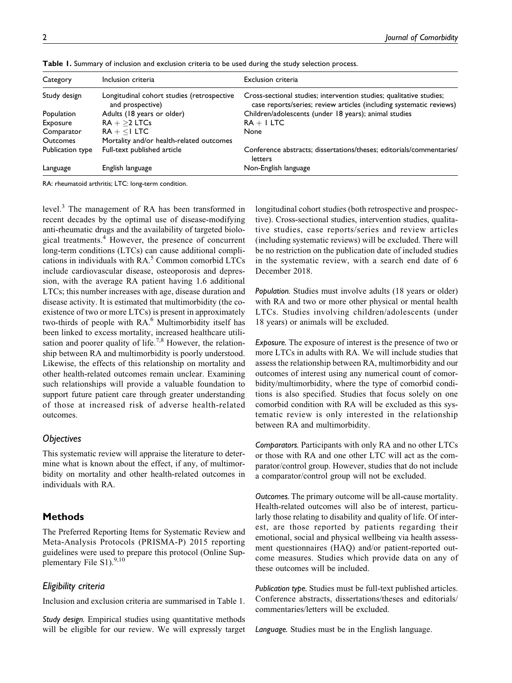| Category         | Inclusion criteria                                             | Exclusion criteria                                                                                                                         |  |  |
|------------------|----------------------------------------------------------------|--------------------------------------------------------------------------------------------------------------------------------------------|--|--|
| Study design     | Longitudinal cohort studies (retrospective<br>and prospective) | Cross-sectional studies; intervention studies; qualitative studies;<br>case reports/series; review articles (including systematic reviews) |  |  |
| Population       | Adults (18 years or older)                                     | Children/adolescents (under 18 years); animal studies                                                                                      |  |  |
| Exposure         | $RA + >2$ LTCs                                                 | $RA + I$ LTC                                                                                                                               |  |  |
| Comparator       | $RA + < I$ LTC                                                 | None                                                                                                                                       |  |  |
| <b>Outcomes</b>  | Mortality and/or health-related outcomes                       |                                                                                                                                            |  |  |
| Publication type | Full-text published article                                    | Conference abstracts; dissertations/theses; editorials/commentaries/<br>letters                                                            |  |  |
| Language         | English language                                               | Non-English language                                                                                                                       |  |  |
|                  |                                                                |                                                                                                                                            |  |  |

Table 1. Summary of inclusion and exclusion criteria to be used during the study selection process.

RA: rheumatoid arthritis; LTC: long-term condition.

level.<sup>3</sup> The management of RA has been transformed in recent decades by the optimal use of disease-modifying anti-rheumatic drugs and the availability of targeted biological treatments.<sup>4</sup> However, the presence of concurrent long-term conditions (LTCs) can cause additional complications in individuals with  $RA<sup>5</sup>$  Common comorbid LTCs include cardiovascular disease, osteoporosis and depression, with the average RA patient having 1.6 additional LTCs; this number increases with age, disease duration and disease activity. It is estimated that multimorbidity (the coexistence of two or more LTCs) is present in approximately two-thirds of people with RA.<sup>6</sup> Multimorbidity itself has been linked to excess mortality, increased healthcare utilisation and poorer quality of life.<sup>7,8</sup> However, the relationship between RA and multimorbidity is poorly understood. Likewise, the effects of this relationship on mortality and other health-related outcomes remain unclear. Examining such relationships will provide a valuable foundation to support future patient care through greater understanding of those at increased risk of adverse health-related outcomes.

# **Objectives**

This systematic review will appraise the literature to determine what is known about the effect, if any, of multimorbidity on mortality and other health-related outcomes in individuals with RA.

# Methods

The Preferred Reporting Items for Systematic Review and Meta-Analysis Protocols (PRISMA-P) 2015 reporting guidelines were used to prepare this protocol (Online Supplementary File S1).<sup>9,10</sup>

# Eligibility criteria

Inclusion and exclusion criteria are summarised in Table 1.

Study design. Empirical studies using quantitative methods will be eligible for our review. We will expressly target longitudinal cohort studies (both retrospective and prospective). Cross-sectional studies, intervention studies, qualitative studies, case reports/series and review articles (including systematic reviews) will be excluded. There will be no restriction on the publication date of included studies in the systematic review, with a search end date of 6 December 2018.

Population. Studies must involve adults (18 years or older) with RA and two or more other physical or mental health LTCs. Studies involving children/adolescents (under 18 years) or animals will be excluded.

Exposure. The exposure of interest is the presence of two or more LTCs in adults with RA. We will include studies that assess the relationship between RA, multimorbidity and our outcomes of interest using any numerical count of comorbidity/multimorbidity, where the type of comorbid conditions is also specified. Studies that focus solely on one comorbid condition with RA will be excluded as this systematic review is only interested in the relationship between RA and multimorbidity.

Comparators. Participants with only RA and no other LTCs or those with RA and one other LTC will act as the comparator/control group. However, studies that do not include a comparator/control group will not be excluded.

Outcomes. The primary outcome will be all-cause mortality. Health-related outcomes will also be of interest, particularly those relating to disability and quality of life. Of interest, are those reported by patients regarding their emotional, social and physical wellbeing via health assessment questionnaires (HAQ) and/or patient-reported outcome measures. Studies which provide data on any of these outcomes will be included.

Publication type. Studies must be full-text published articles. Conference abstracts, dissertations/theses and editorials/ commentaries/letters will be excluded.

Language. Studies must be in the English language.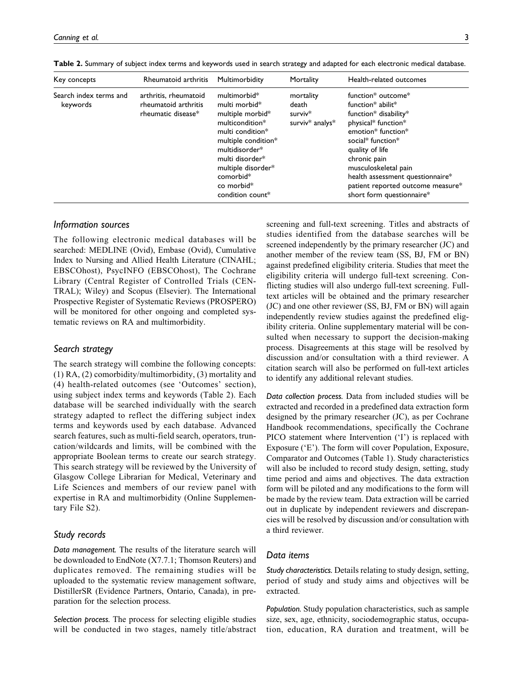| Key concepts                       | Rheumatoid arthritis                                                | Multimorbidity                                                                                                                                                                                                                        | Mortality                                                    | Health-related outcomes                                                                                                                                                                                                                                                                             |
|------------------------------------|---------------------------------------------------------------------|---------------------------------------------------------------------------------------------------------------------------------------------------------------------------------------------------------------------------------------|--------------------------------------------------------------|-----------------------------------------------------------------------------------------------------------------------------------------------------------------------------------------------------------------------------------------------------------------------------------------------------|
| Search index terms and<br>keywords | arthritis, rheumatoid<br>rheumatoid arthritis<br>rheumatic disease* | multimorbid <sup>*</sup><br>multi morbid*<br>multiple morbid*<br>multicondition*<br>multi condition*<br>multiple condition*<br>multidisorder*<br>multi disorder*<br>multiple disorder*<br>comorbid*<br>co morbid*<br>condition count* | mortality<br>death<br>surviv <sup>*</sup><br>surviv* analys* | function* outcome*<br>function* abilit*<br>function* disability*<br>physical* function*<br>emotion* function*<br>social* function*<br>quality of life<br>chronic pain<br>musculoskeletal pain<br>health assessment questionnaire*<br>patient reported outcome measure*<br>short form questionnaire* |

Table 2. Summary of subject index terms and keywords used in search strategy and adapted for each electronic medical database.

## Information sources

The following electronic medical databases will be searched: MEDLINE (Ovid), Embase (Ovid), Cumulative Index to Nursing and Allied Health Literature (CINAHL; EBSCOhost), PsycINFO (EBSCOhost), The Cochrane Library (Central Register of Controlled Trials (CEN-TRAL); Wiley) and Scopus (Elsevier). The International Prospective Register of Systematic Reviews (PROSPERO) will be monitored for other ongoing and completed systematic reviews on RA and multimorbidity.

# Search strategy

The search strategy will combine the following concepts: (1) RA, (2) comorbidity/multimorbidity, (3) mortality and (4) health-related outcomes (see 'Outcomes' section), using subject index terms and keywords (Table 2). Each database will be searched individually with the search strategy adapted to reflect the differing subject index terms and keywords used by each database. Advanced search features, such as multi-field search, operators, truncation/wildcards and limits, will be combined with the appropriate Boolean terms to create our search strategy. This search strategy will be reviewed by the University of Glasgow College Librarian for Medical, Veterinary and Life Sciences and members of our review panel with expertise in RA and multimorbidity (Online Supplementary File S2).

## Study records

Data management. The results of the literature search will be downloaded to EndNote (X7.7.1; Thomson Reuters) and duplicates removed. The remaining studies will be uploaded to the systematic review management software, DistillerSR (Evidence Partners, Ontario, Canada), in preparation for the selection process.

Selection process. The process for selecting eligible studies will be conducted in two stages, namely title/abstract

screening and full-text screening. Titles and abstracts of studies identified from the database searches will be screened independently by the primary researcher (JC) and another member of the review team (SS, BJ, FM or BN) against predefined eligibility criteria. Studies that meet the eligibility criteria will undergo full-text screening. Conflicting studies will also undergo full-text screening. Fulltext articles will be obtained and the primary researcher (JC) and one other reviewer (SS, BJ, FM or BN) will again independently review studies against the predefined eligibility criteria. Online supplementary material will be consulted when necessary to support the decision-making process. Disagreements at this stage will be resolved by discussion and/or consultation with a third reviewer. A citation search will also be performed on full-text articles to identify any additional relevant studies.

Data collection process. Data from included studies will be extracted and recorded in a predefined data extraction form designed by the primary researcher (JC), as per Cochrane Handbook recommendations, specifically the Cochrane PICO statement where Intervention ('I') is replaced with Exposure ('E'). The form will cover Population, Exposure, Comparator and Outcomes (Table 1). Study characteristics will also be included to record study design, setting, study time period and aims and objectives. The data extraction form will be piloted and any modifications to the form will be made by the review team. Data extraction will be carried out in duplicate by independent reviewers and discrepancies will be resolved by discussion and/or consultation with a third reviewer.

## Data items

Study characteristics. Details relating to study design, setting, period of study and study aims and objectives will be extracted.

Population. Study population characteristics, such as sample size, sex, age, ethnicity, sociodemographic status, occupation, education, RA duration and treatment, will be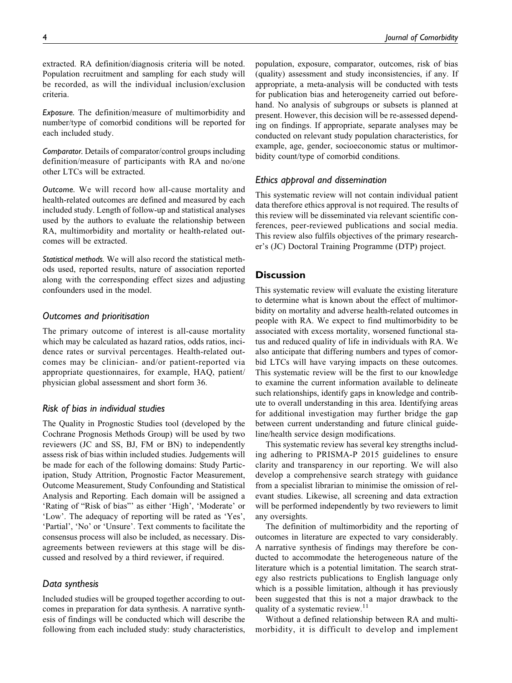Exposure. The definition/measure of multimorbidity and number/type of comorbid conditions will be reported for each included study.

Comparator. Details of comparator/control groups including definition/measure of participants with RA and no/one other LTCs will be extracted.

Outcome. We will record how all-cause mortality and health-related outcomes are defined and measured by each included study. Length of follow-up and statistical analyses used by the authors to evaluate the relationship between RA, multimorbidity and mortality or health-related outcomes will be extracted.

Statistical methods. We will also record the statistical methods used, reported results, nature of association reported along with the corresponding effect sizes and adjusting confounders used in the model.

# Outcomes and prioritisation

The primary outcome of interest is all-cause mortality which may be calculated as hazard ratios, odds ratios, incidence rates or survival percentages. Health-related outcomes may be clinician- and/or patient-reported via appropriate questionnaires, for example, HAQ, patient/ physician global assessment and short form 36.

# Risk of bias in individual studies

The Quality in Prognostic Studies tool (developed by the Cochrane Prognosis Methods Group) will be used by two reviewers (JC and SS, BJ, FM or BN) to independently assess risk of bias within included studies. Judgements will be made for each of the following domains: Study Participation, Study Attrition, Prognostic Factor Measurement, Outcome Measurement, Study Confounding and Statistical Analysis and Reporting. Each domain will be assigned a 'Rating of "Risk of bias"' as either 'High', 'Moderate' or 'Low'. The adequacy of reporting will be rated as 'Yes', 'Partial', 'No' or 'Unsure'. Text comments to facilitate the consensus process will also be included, as necessary. Disagreements between reviewers at this stage will be discussed and resolved by a third reviewer, if required.

# Data synthesis

Included studies will be grouped together according to outcomes in preparation for data synthesis. A narrative synthesis of findings will be conducted which will describe the following from each included study: study characteristics,

population, exposure, comparator, outcomes, risk of bias (quality) assessment and study inconsistencies, if any. If appropriate, a meta-analysis will be conducted with tests for publication bias and heterogeneity carried out beforehand. No analysis of subgroups or subsets is planned at present. However, this decision will be re-assessed depending on findings. If appropriate, separate analyses may be conducted on relevant study population characteristics, for example, age, gender, socioeconomic status or multimorbidity count/type of comorbid conditions.

# Ethics approval and dissemination

This systematic review will not contain individual patient data therefore ethics approval is not required. The results of this review will be disseminated via relevant scientific conferences, peer-reviewed publications and social media. This review also fulfils objectives of the primary researcher's (JC) Doctoral Training Programme (DTP) project.

# **Discussion**

This systematic review will evaluate the existing literature to determine what is known about the effect of multimorbidity on mortality and adverse health-related outcomes in people with RA. We expect to find multimorbidity to be associated with excess mortality, worsened functional status and reduced quality of life in individuals with RA. We also anticipate that differing numbers and types of comorbid LTCs will have varying impacts on these outcomes. This systematic review will be the first to our knowledge to examine the current information available to delineate such relationships, identify gaps in knowledge and contribute to overall understanding in this area. Identifying areas for additional investigation may further bridge the gap between current understanding and future clinical guideline/health service design modifications.

This systematic review has several key strengths including adhering to PRISMA-P 2015 guidelines to ensure clarity and transparency in our reporting. We will also develop a comprehensive search strategy with guidance from a specialist librarian to minimise the omission of relevant studies. Likewise, all screening and data extraction will be performed independently by two reviewers to limit any oversights.

The definition of multimorbidity and the reporting of outcomes in literature are expected to vary considerably. A narrative synthesis of findings may therefore be conducted to accommodate the heterogeneous nature of the literature which is a potential limitation. The search strategy also restricts publications to English language only which is a possible limitation, although it has previously been suggested that this is not a major drawback to the quality of a systematic review.<sup>11</sup>

Without a defined relationship between RA and multimorbidity, it is difficult to develop and implement